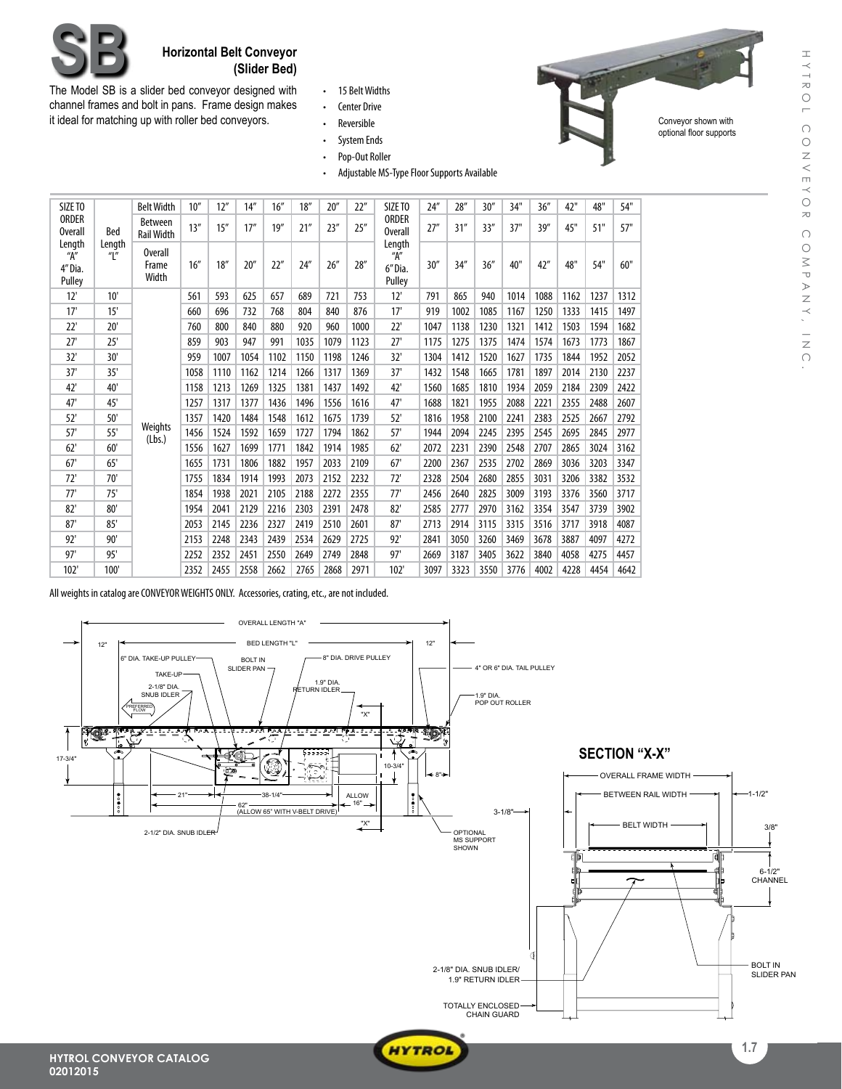

Conveyor shown with optional floor supports



## **Horizontal Belt Conveyor**<br>**(Slider Bed)**

The Model SB is a slider bed conveyor designed with channel frames and bolt in pans. Frame design makes it ideal for matching up with roller bed conveyors.

• 15 Belt Widths

• Center Drive • Reversible

- • System Ends
- • Pop-Out Roller
- Adjustable MS-Type Floor Supports Available

| SIZE TO<br><b>ORDER</b><br><b>Overall</b><br>Bed |                                       | <b>Belt Width</b>                   | 10'' | 12"  | 14'' | 16'' | 18'' | 20'' | 22"  | SIZE TO                                    | 24'' | 28'' | 30'' | 34"  | 36'' | 42"  | 48"  | 54"  |
|--------------------------------------------------|---------------------------------------|-------------------------------------|------|------|------|------|------|------|------|--------------------------------------------|------|------|------|------|------|------|------|------|
|                                                  |                                       | <b>Between</b><br><b>Rail Width</b> | 13'' | 15'' | 17'' | 19'' | 21'' | 23'' | 25'' | <b>ORDER</b><br><b>Overall</b>             | 27'' | 31'' | 33'' | 37"  | 39'' | 45"  | 51"  | 57"  |
| "A"<br>4" Dia.<br>Pulley                         | Length<br>Length<br>$^{\prime\prime}$ | Overall<br>Frame<br>Width           | 16'' | 18'' | 20'' | 22"  | 24'' | 26'' | 28'' | Length<br>H''<br>30''<br>6" Dia.<br>Pulley | 34'' | 36'' | 40"  | 42"  | 48"  | 54"  | 60"  |      |
| 12'                                              | 10'                                   |                                     | 561  | 593  | 625  | 657  | 689  | 721  | 753  | 12'                                        | 791  | 865  | 940  | 1014 | 1088 | 1162 | 1237 | 1312 |
| 17'                                              | 15'                                   |                                     | 660  | 696  | 732  | 768  | 804  | 840  | 876  | 17'                                        | 919  | 1002 | 1085 | 1167 | 1250 | 1333 | 1415 | 1497 |
| 22'                                              | 20'                                   |                                     | 760  | 800  | 840  | 880  | 920  | 960  | 1000 | 22'                                        | 1047 | 1138 | 1230 | 1321 | 1412 | 1503 | 1594 | 1682 |
| 27'                                              | 25'                                   |                                     | 859  | 903  | 947  | 991  | 1035 | 1079 | 1123 | 27'                                        | 1175 | 1275 | 1375 | 1474 | 1574 | 1673 | 1773 | 1867 |
| 32'                                              | 30'                                   |                                     | 959  | 1007 | 1054 | 1102 | 1150 | 1198 | 1246 | 32'                                        | 1304 | 1412 | 1520 | 1627 | 1735 | 1844 | 1952 | 2052 |
| 37'                                              | 35'                                   |                                     | 1058 | 1110 | 1162 | 1214 | 1266 | 1317 | 1369 | 37'                                        | 1432 | 1548 | 1665 | 1781 | 1897 | 2014 | 2130 | 2237 |
| 42'                                              | 40'                                   |                                     | 1158 | 1213 | 1269 | 1325 | 1381 | 1437 | 1492 | 42'                                        | 1560 | 1685 | 1810 | 1934 | 2059 | 2184 | 2309 | 2422 |
| 47'                                              | 45'                                   |                                     | 1257 | 1317 | 1377 | 1436 | 1496 | 1556 | 1616 | 47'                                        | 1688 | 1821 | 1955 | 2088 | 2221 | 2355 | 2488 | 2607 |
| 52'                                              | 50'                                   |                                     | 1357 | 1420 | 1484 | 1548 | 1612 | 1675 | 1739 | 52'                                        | 1816 | 1958 | 2100 | 2241 | 2383 | 2525 | 2667 | 2792 |
| 57'                                              | 55'                                   | Weights<br>(Lbs.)                   | 1456 | 1524 | 1592 | 1659 | 1727 | 1794 | 1862 | 57'                                        | 1944 | 2094 | 2245 | 2395 | 2545 | 2695 | 2845 | 2977 |
| 62'                                              | 60'                                   |                                     | 1556 | 1627 | 1699 | 1771 | 1842 | 1914 | 1985 | 62'                                        | 2072 | 2231 | 2390 | 2548 | 2707 | 2865 | 3024 | 3162 |
| 67'                                              | 65'                                   |                                     | 1655 | 1731 | 1806 | 1882 | 1957 | 2033 | 2109 | 67'                                        | 2200 | 2367 | 2535 | 2702 | 2869 | 3036 | 3203 | 3347 |
| 72'                                              | 70'                                   |                                     | 1755 | 1834 | 1914 | 1993 | 2073 | 2152 | 2232 | 72'                                        | 2328 | 2504 | 2680 | 2855 | 3031 | 3206 | 3382 | 3532 |
| 77'                                              | 75'                                   |                                     | 1854 | 1938 | 2021 | 2105 | 2188 | 2272 | 2355 | 77'                                        | 2456 | 2640 | 2825 | 3009 | 3193 | 3376 | 3560 | 3717 |
| 82'                                              | 80'                                   |                                     | 1954 | 2041 | 2129 | 2216 | 2303 | 2391 | 2478 | 82'                                        | 2585 | 2777 | 2970 | 3162 | 3354 | 3547 | 3739 | 3902 |
| 87'                                              | 85'                                   |                                     | 2053 | 2145 | 2236 | 2327 | 2419 | 2510 | 2601 | 87'                                        | 2713 | 2914 | 3115 | 3315 | 3516 | 3717 | 3918 | 4087 |
| 92'                                              | 90'                                   |                                     | 2153 | 2248 | 2343 | 2439 | 2534 | 2629 | 2725 | 92'                                        | 2841 | 3050 | 3260 | 3469 | 3678 | 3887 | 4097 | 4272 |
| 97'                                              | 95'                                   |                                     | 2252 | 2352 | 2451 | 2550 | 2649 | 2749 | 2848 | 97'                                        | 2669 | 3187 | 3405 | 3622 | 3840 | 4058 | 4275 | 4457 |
| 102'                                             | 100'                                  |                                     | 2352 | 2455 | 2558 | 2662 | 2765 | 2868 | 2971 | 102'                                       | 3097 | 3323 | 3550 | 3776 | 4002 | 4228 | 4454 | 4642 |

All weights in catalog are CONVEYOR WEIGHTS ONLY. Accessories, crating, etc., are not included.